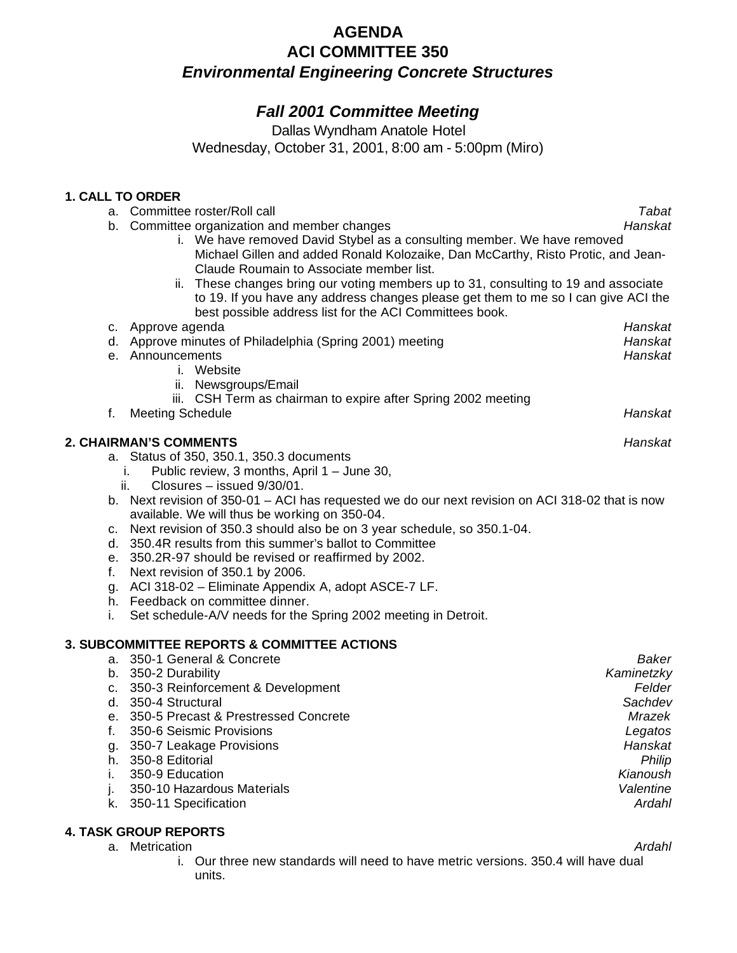# **AGENDA ACI COMMITTEE 350** *Environmental Engineering Concrete Structures*

# *Fall 2001 Committee Meeting*

Dallas Wyndham Anatole Hotel

Wednesday, October 31, 2001, 8:00 am - 5:00pm (Miro)

# **1. CALL TO ORDER**

|    | I. VALL IV VNVEN                                                                                 |              |
|----|--------------------------------------------------------------------------------------------------|--------------|
|    | a. Committee roster/Roll call                                                                    | <b>Tabat</b> |
|    | b. Committee organization and member changes                                                     | Hanskat      |
|    | i. We have removed David Stybel as a consulting member. We have removed                          |              |
|    | Michael Gillen and added Ronald Kolozaike, Dan McCarthy, Risto Protic, and Jean-                 |              |
|    | Claude Roumain to Associate member list.                                                         |              |
|    | ii. These changes bring our voting members up to 31, consulting to 19 and associate              |              |
|    | to 19. If you have any address changes please get them to me so I can give ACI the               |              |
|    | best possible address list for the ACI Committees book.                                          |              |
|    | c. Approve agenda                                                                                | Hanskat      |
|    | d. Approve minutes of Philadelphia (Spring 2001) meeting                                         | Hanskat      |
|    | e. Announcements                                                                                 | Hanskat      |
|    | i. Website                                                                                       |              |
|    | ii. Newsgroups/Email                                                                             |              |
|    | iii. CSH Term as chairman to expire after Spring 2002 meeting                                    |              |
| f. | <b>Meeting Schedule</b>                                                                          | Hanskat      |
|    |                                                                                                  |              |
|    | <b>2. CHAIRMAN'S COMMENTS</b>                                                                    | Hanskat      |
|    | a. Status of 350, 350.1, 350.3 documents                                                         |              |
|    | Public review, 3 months, April 1 - June 30,<br>i.                                                |              |
|    | Closures - issued 9/30/01.<br>ii.                                                                |              |
|    | b. Next revision of 350-01 – ACI has requested we do our next revision on ACI 318-02 that is now |              |
|    | available. We will thus be working on 350-04.                                                    |              |
|    | c. Next revision of 350.3 should also be on 3 year schedule, so 350.1-04.                        |              |
|    | d. 350.4R results from this summer's ballot to Committee                                         |              |
|    | e. 350.2R-97 should be revised or reaffirmed by 2002.                                            |              |
| f. | Next revision of 350.1 by 2006.                                                                  |              |
|    | g. ACI 318-02 - Eliminate Appendix A, adopt ASCE-7 LF.                                           |              |
|    | h. Feedback on committee dinner.                                                                 |              |
| i. | Set schedule-A/V needs for the Spring 2002 meeting in Detroit.                                   |              |
|    |                                                                                                  |              |
|    | <b>3. SUBCOMMITTEE REPORTS &amp; COMMITTEE ACTIONS</b>                                           |              |
|    | a. 350-1 General & Concrete                                                                      | Baker        |
|    | b. 350-2 Durability                                                                              | Kaminetzky   |
|    | c. 350-3 Reinforcement & Development                                                             | Felder       |
|    | d. 350-4 Structural                                                                              | Sachdev      |
|    | e. 350-5 Precast & Prestressed Concrete                                                          | Mrazek       |
| f. | 350-6 Seismic Provisions                                                                         | Legatos      |
|    | g. 350-7 Leakage Provisions                                                                      | Hanskat      |
|    | h. 350-8 Editorial                                                                               | Philip       |
|    | 350-9 Education                                                                                  |              |
| i. |                                                                                                  | Kianoush     |
| j. | 350-10 Hazardous Materials                                                                       | Valentine    |
| k. | 350-11 Specification                                                                             | Ardahl       |

#### **4. TASK GROUP REPORTS**

a. Metrication **Ardahl** 

i. Our three new standards will need to have metric versions. 350.4 will have dual units.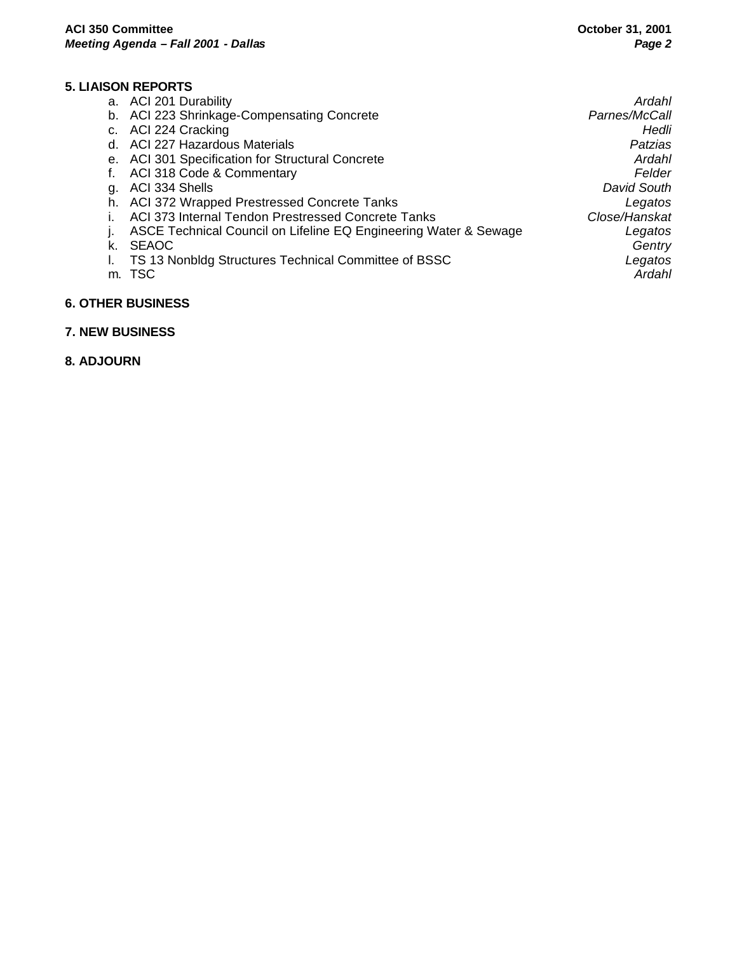## **5. LIAISON REPORTS**

|    | a. ACI 201 Durability                                            | Ardahl        |
|----|------------------------------------------------------------------|---------------|
|    | b. ACI 223 Shrinkage-Compensating Concrete                       | Parnes/McCall |
|    | c. ACI 224 Cracking                                              | Hedli         |
|    | d. ACI 227 Hazardous Materials                                   | Patzias       |
|    | e. ACI 301 Specification for Structural Concrete                 | Ardahl        |
|    | ACI 318 Code & Commentary                                        | Felder        |
| g. | ACI 334 Shells                                                   | David South   |
|    | h. ACI 372 Wrapped Prestressed Concrete Tanks                    | Legatos       |
|    | ACI 373 Internal Tendon Prestressed Concrete Tanks               | Close/Hanskat |
|    | ASCE Technical Council on Lifeline EQ Engineering Water & Sewage | Legatos       |
| k. | <b>SEAOC</b>                                                     | Gentry        |
|    | TS 13 Nonbldg Structures Technical Committee of BSSC             | Legatos       |
|    | m. TSC                                                           | Ardahl        |
|    |                                                                  |               |

#### **6. OTHER BUSINESS**

#### **7. NEW BUSINESS**

**8. ADJOURN**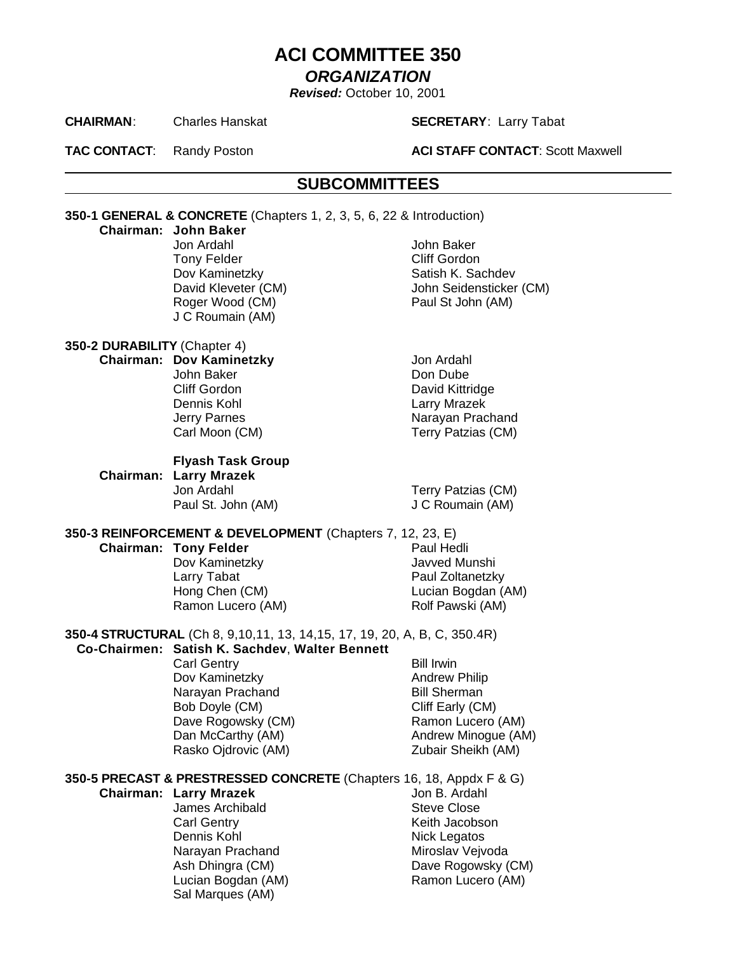# **ACI COMMITTEE 350**

## *ORGANIZATION*

*Revised:* October 10, 2001

#### **CHAIRMAN**: Charles Hanskat **SECRETARY**: Larry Tabat

**TAC CONTACT:** Randy Poston **ACI STAFF CONTACT:** Scott Maxwell

# **SUBCOMMITTEES**

**350-1 GENERAL & CONCRETE** (Chapters 1, 2, 3, 5, 6, 22 & Introduction)

#### **Chairman: John Baker**

Jon Ardahl John Baker Tony Felder **Cliff** Gordon Dov Kaminetzky Satish K. Sachdev David Kleveter (CM) John Seidensticker (CM) Roger Wood (CM) Paul St John (AM) J C Roumain (AM)

# **350-2 DURABILITY** (Chapter 4)

# **Chairman: Dov Kaminetzky Jon Ardahl**

John Baker **Don Dube** Cliff Gordon David Kittridge Dennis Kohl **Larry Mrazek** Jerry Parnes **Narayan Prachand** Carl Moon (CM) Terry Patzias (CM)

#### **Flyash Task Group**

**Chairman: Larry Mrazek** Jon Ardahl **Terry Patzias (CM)** Paul St. John (AM) **J C Roumain (AM)** 

# **350-3 REINFORCEMENT & DEVELOPMENT** (Chapters 7, 12, 23, E)

#### **Chairman: Tony Felder Paul Hedli**

Dov Kaminetzky **Javved Munshi** Larry Tabat **Paul Zoltanetzky** Hong Chen (CM) Lucian Bogdan (AM) Ramon Lucero (AM) Rolf Pawski (AM)

**350-4 STRUCTURAL** (Ch 8, 9,10,11, 13, 14,15, 17, 19, 20, A, B, C, 350.4R)

# **Co-Chairmen: Satish K. Sachdev**, **Walter Bennett**

Carl Gentry **Bill Irwin** Dov Kaminetzky **Andrew Philip** Narayan Prachand Bill Sherman Bob Doyle (CM) Cliff Early (CM) Dave Rogowsky (CM) Ramon Lucero (AM) Rasko Ojdrovic (AM) Zubair Sheikh (AM)

Dan McCarthy (AM) Andrew Minogue (AM)

**350-5 PRECAST & PRESTRESSED CONCRETE** (Chapters 16, 18, Appdx F & G)

#### **Chairman: Larry Mrazek** Jon B. Ardahl

James Archibald Steve Close Carl Gentry **Carl Gentry Carl Gentry Keith Jacobson** Dennis Kohl Nick Legatos Narayan Prachand Miroslav Vejvoda Sal Marques (AM)

Ash Dhingra (CM) Dave Rogowsky (CM) Lucian Bogdan (AM) Ramon Lucero (AM)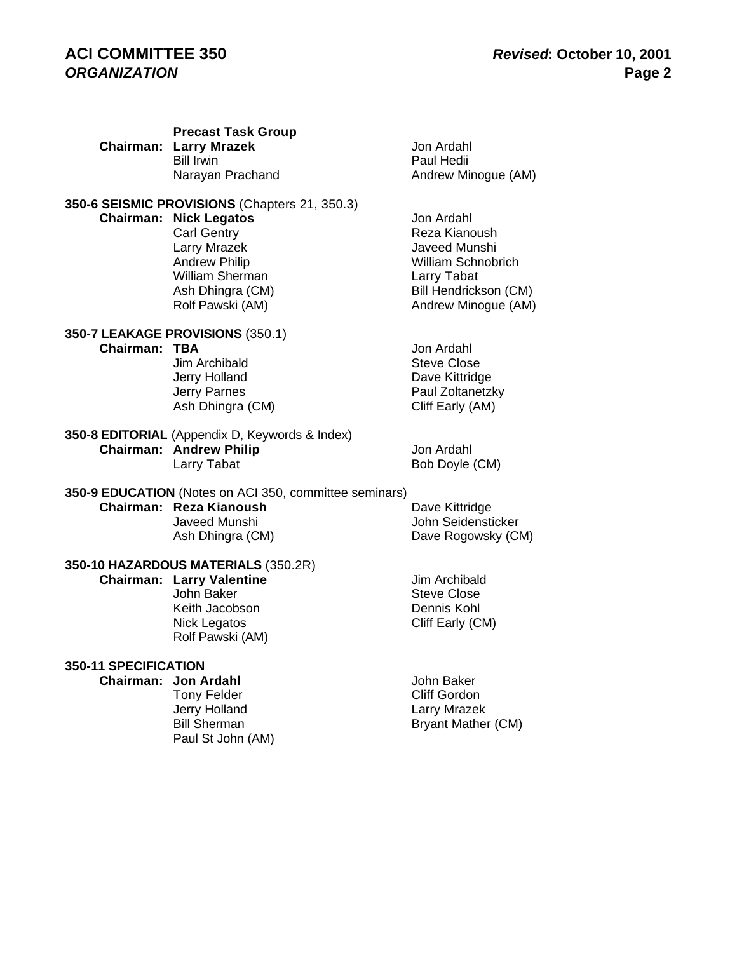# **ACI COMMITTEE 350** *Revised***: October 10, 2001**

| Chairman: | <b>Precast Task Group</b><br><b>Larry Mrazek</b><br><b>Bill Irwin</b><br>Narayan Prachand                                                                                                               | Jon Ardahl<br>Paul Hedii<br>Andrew Minogue (AM)                                                                                          |
|-----------|---------------------------------------------------------------------------------------------------------------------------------------------------------------------------------------------------------|------------------------------------------------------------------------------------------------------------------------------------------|
|           | 350-6 SEISMIC PROVISIONS (Chapters 21, 350.3)<br><b>Chairman: Nick Legatos</b><br><b>Carl Gentry</b><br>Larry Mrazek<br><b>Andrew Philip</b><br>William Sherman<br>Ash Dhingra (CM)<br>Rolf Pawski (AM) | Jon Ardahl<br>Reza Kianoush<br><b>Javeed Munshi</b><br>William Schnobrich<br>Larry Tabat<br>Bill Hendrickson (CM)<br>Andrew Minogue (AM) |
| Chairman: | <b>350-7 LEAKAGE PROVISIONS (350.1)</b><br><b>TBA</b><br>Jim Archibald<br>Jerry Holland<br><b>Jerry Parnes</b><br>Ash Dhingra (CM)                                                                      | Jon Ardahl<br><b>Steve Close</b><br>Dave Kittridge<br>Paul Zoltanetzky<br>Cliff Early (AM)                                               |
|           | 350-8 EDITORIAL (Appendix D, Keywords & Index)<br><b>Chairman: Andrew Philip</b><br>Larry Tabat                                                                                                         | Jon Ardahl<br>Bob Doyle (CM)                                                                                                             |
|           | 350-9 EDUCATION (Notes on ACI 350, committee seminars)<br>Chairman: Reza Kianoush<br>Javeed Munshi<br>Ash Dhingra (CM)                                                                                  | Dave Kittridge<br>John Seidensticker<br>Dave Rogowsky (CM)                                                                               |
|           | 350-10 HAZARDOUS MATERIALS (350.2R)<br><b>Chairman: Larry Valentine</b><br>John Baker<br>Keith Jacobson<br>Nick Legatos<br>Rolf Pawski (AM)                                                             | Jim Archibald<br><b>Steve Close</b><br>Dennis Kohl<br>Cliff Early (CM)                                                                   |
|           |                                                                                                                                                                                                         |                                                                                                                                          |

## **350-11 SPECIFICATION**

Tony Felder<br>Jerry Holland Jerry Holland Larry Mrazek<br>Bill Sherman Bill Bryant Mathei Paul St John (AM)

**Chairman: Jon Ardahl** John Baker<br>Tony Felder **Cliff Gordon** Bryant Mather (CM)